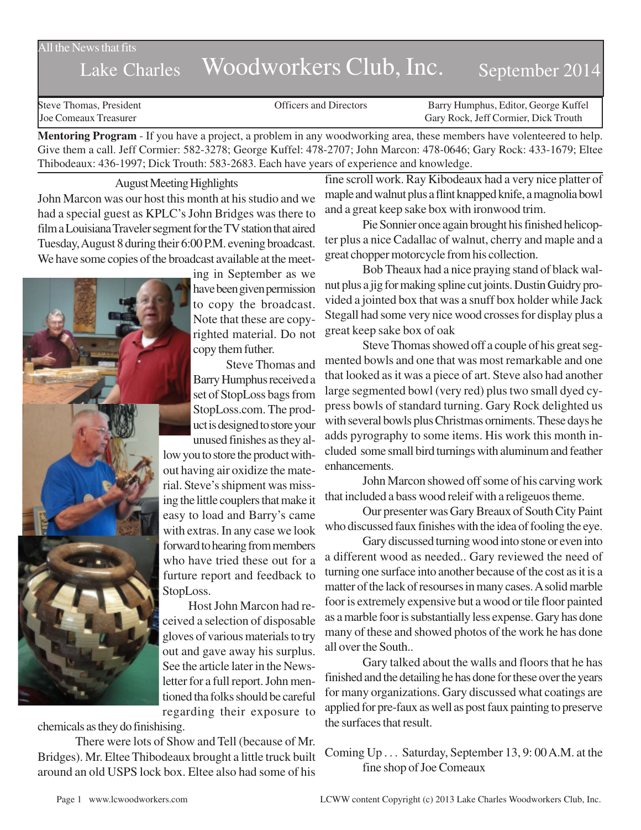## All the News that fits

## Lake Charles Woodworkers Club, Inc. September 2014

Steve Thomas, President The Steve Thomas, President Contractors Conficers and Directors Barry Humphus, Editor, George Kuffel<br>Steve Configuration Carv Rock, Jeff Cormier, Dick Trouth Gary Rock, Jeff Cormier, Dick Trouth

**Mentoring Program** - If you have a project, a problem in any woodworking area, these members have volenteered to help. Give them a call. Jeff Cormier: 582-3278; George Kuffel: 478-2707; John Marcon: 478-0646; Gary Rock: 433-1679; Eltee Thibodeaux: 436-1997; Dick Trouth: 583-2683. Each have years of experience and knowledge.

August Meeting Highlights

John Marcon was our host this month at his studio and we had a special guest as KPLC's John Bridges was there to film a Louisiana Traveler segment for the TV station that aired Tuesday, August 8 during their 6:00 P.M. evening broadcast. We have some copies of the broadcast available at the meet-

> ing in September as we have been given permission to copy the broadcast. Note that these are copyrighted material. Do not copy them futher. Steve Thomas and

Barry Humphus received a set of StopLoss bags from StopLoss.com. The product is designed to store your unused finishes as they al-

low you to store the product without having air oxidize the material. Steve's shipment was missing the little couplers that make it easy to load and Barry's came with extras. In any case we look forward to hearing from members who have tried these out for a furture report and feedback to StopLoss.

Host John Marcon had received a selection of disposable gloves of various materials to try out and gave away his surplus. See the article later in the Newsletter for a full report. John mentioned tha folks should be careful regarding their exposure to

chemicals as they do finishising.

There were lots of Show and Tell (because of Mr. Bridges). Mr. Eltee Thibodeaux brought a little truck built around an old USPS lock box. Eltee also had some of his

fine scroll work. Ray Kibodeaux had a very nice platter of maple and walnut plus a flint knapped knife, a magnolia bowl and a great keep sake box with ironwood trim.

Pie Sonnier once again brought his finished helicopter plus a nice Cadallac of walnut, cherry and maple and a great chopper motorcycle from his collection.

Bob Theaux had a nice praying stand of black walnut plus a jig for making spline cut joints. Dustin Guidry provided a jointed box that was a snuff box holder while Jack Stegall had some very nice wood crosses for display plus a great keep sake box of oak

Steve Thomas showed off a couple of his great segmented bowls and one that was most remarkable and one that looked as it was a piece of art. Steve also had another large segmented bowl (very red) plus two small dyed cypress bowls of standard turning. Gary Rock delighted us with several bowls plus Christmas orniments. These days he adds pyrography to some items. His work this month included some small bird turnings with aluminum and feather enhancements.

John Marcon showed off some of his carving work that included a bass wood releif with a religeuos theme.

Our presenter was Gary Breaux of South City Paint who discussed faux finishes with the idea of fooling the eye.

Gary discussed turning wood into stone or even into a different wood as needed.. Gary reviewed the need of turning one surface into another because of the cost as it is a matter of the lack of resourses in many cases. A solid marble foor is extremely expensive but a wood or tile floor painted as a marble foor is substantially less expense. Gary has done many of these and showed photos of the work he has done all over the South..

Gary talked about the walls and floors that he has finished and the detailing he has done for these over the years for many organizations. Gary discussed what coatings are applied for pre-faux as well as post faux painting to preserve the surfaces that result.

Coming Up . . . Saturday, September 13, 9: 00 A.M. at the fine shop of Joe Comeaux

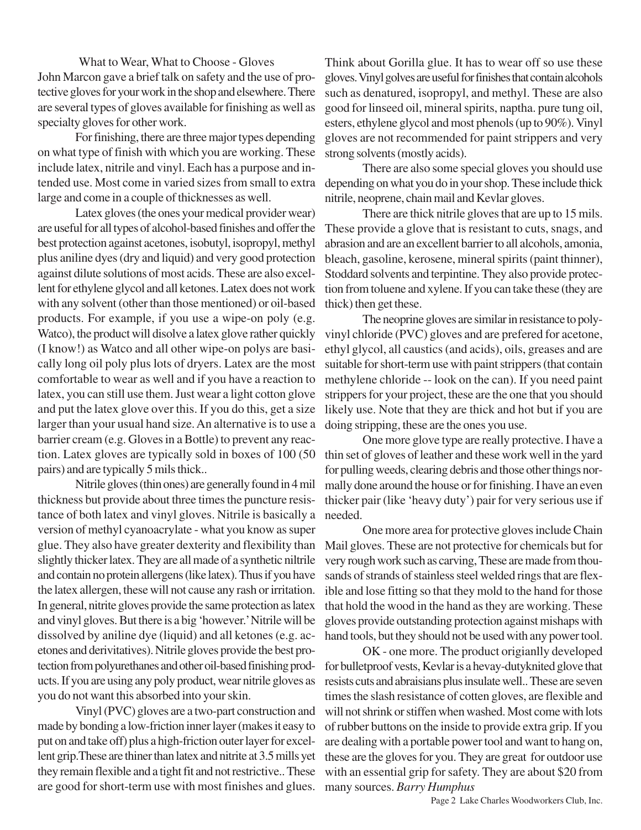What to Wear, What to Choose - Gloves John Marcon gave a brief talk on safety and the use of protective gloves for your work in the shop and elsewhere. There are several types of gloves available for finishing as well as specialty gloves for other work.

For finishing, there are three major types depending on what type of finish with which you are working. These include latex, nitrile and vinyl. Each has a purpose and intended use. Most come in varied sizes from small to extra large and come in a couple of thicknesses as well.

Latex gloves (the ones your medical provider wear) are useful for all types of alcohol-based finishes and offer the best protection against acetones, isobutyl, isopropyl, methyl plus aniline dyes (dry and liquid) and very good protection against dilute solutions of most acids. These are also excellent for ethylene glycol and all ketones. Latex does not work with any solvent (other than those mentioned) or oil-based products. For example, if you use a wipe-on poly (e.g. Watco), the product will disolve a latex glove rather quickly (I know!) as Watco and all other wipe-on polys are basically long oil poly plus lots of dryers. Latex are the most comfortable to wear as well and if you have a reaction to latex, you can still use them. Just wear a light cotton glove and put the latex glove over this. If you do this, get a size larger than your usual hand size. An alternative is to use a barrier cream (e.g. Gloves in a Bottle) to prevent any reaction. Latex gloves are typically sold in boxes of 100 (50 pairs) and are typically 5 mils thick..

Nitrile gloves (thin ones) are generally found in 4 mil thickness but provide about three times the puncture resistance of both latex and vinyl gloves. Nitrile is basically a version of methyl cyanoacrylate - what you know as super glue. They also have greater dexterity and flexibility than slightly thicker latex. They are all made of a synthetic niltrile and contain no protein allergens (like latex). Thus if you have the latex allergen, these will not cause any rash or irritation. In general, nitrite gloves provide the same protection as latex and vinyl gloves. But there is a big 'however.' Nitrile will be dissolved by aniline dye (liquid) and all ketones (e.g. acetones and derivitatives). Nitrile gloves provide the best protection from polyurethanes and other oil-based finishing products. If you are using any poly product, wear nitrile gloves as you do not want this absorbed into your skin.

Vinyl (PVC) gloves are a two-part construction and made by bonding a low-friction inner layer (makes it easy to put on and take off) plus a high-friction outer layer for excellent grip.These are thiner than latex and nitrite at 3.5 mills yet they remain flexible and a tight fit and not restrictive.. These are good for short-term use with most finishes and glues. Think about Gorilla glue. It has to wear off so use these gloves. Vinyl golves are useful for finishes that contain alcohols such as denatured, isopropyl, and methyl. These are also good for linseed oil, mineral spirits, naptha. pure tung oil, esters, ethylene glycol and most phenols (up to 90%). Vinyl gloves are not recommended for paint strippers and very strong solvents (mostly acids).

There are also some special gloves you should use depending on what you do in your shop. These include thick nitrile, neoprene, chain mail and Kevlar gloves.

There are thick nitrile gloves that are up to 15 mils. These provide a glove that is resistant to cuts, snags, and abrasion and are an excellent barrier to all alcohols, amonia, bleach, gasoline, kerosene, mineral spirits (paint thinner), Stoddard solvents and terpintine. They also provide protection from toluene and xylene. If you can take these (they are thick) then get these.

The neoprine gloves are similar in resistance to polyvinyl chloride (PVC) gloves and are prefered for acetone, ethyl glycol, all caustics (and acids), oils, greases and are suitable for short-term use with paint strippers (that contain methylene chloride -- look on the can). If you need paint strippers for your project, these are the one that you should likely use. Note that they are thick and hot but if you are doing stripping, these are the ones you use.

One more glove type are really protective. I have a thin set of gloves of leather and these work well in the yard for pulling weeds, clearing debris and those other things normally done around the house or for finishing. I have an even thicker pair (like 'heavy duty') pair for very serious use if needed.

One more area for protective gloves include Chain Mail gloves. These are not protective for chemicals but for very rough work such as carving, These are made from thousands of strands of stainless steel welded rings that are flexible and lose fitting so that they mold to the hand for those that hold the wood in the hand as they are working. These gloves provide outstanding protection against mishaps with hand tools, but they should not be used with any power tool.

OK - one more. The product origianlly developed for bulletproof vests, Kevlar is a hevay-dutyknited glove that resists cuts and abraisians plus insulate well.. These are seven times the slash resistance of cotten gloves, are flexible and will not shrink or stiffen when washed. Most come with lots of rubber buttons on the inside to provide extra grip. If you are dealing with a portable power tool and want to hang on, these are the gloves for you. They are great for outdoor use with an essential grip for safety. They are about \$20 from many sources. *Barry Humphus*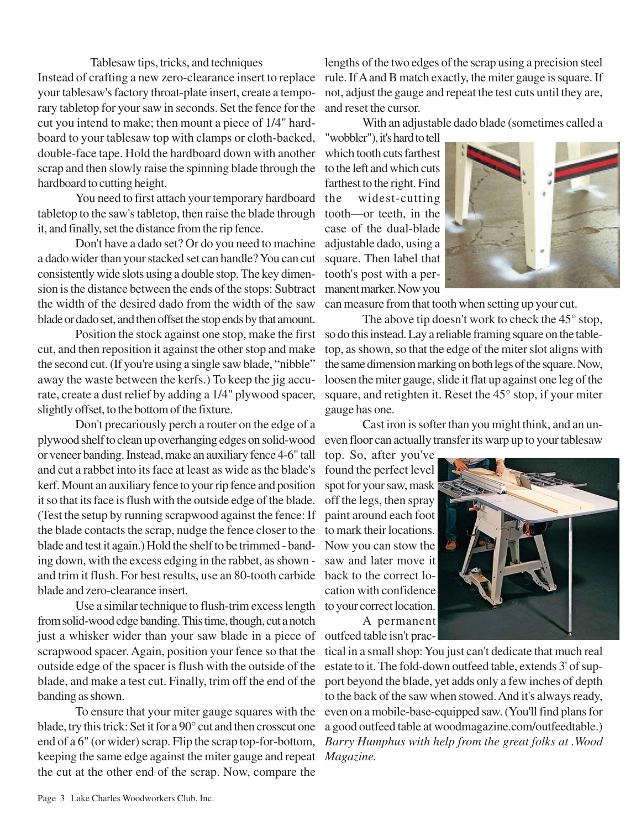Tablesaw tips, tricks, and techniques Instead of crafting a new zero-clearance insert to replace your tablesaw's factory throat-plate insert, create a temporary tabletop for your saw in seconds. Set the fence for the cut you intend to make; then mount a piece of 1/4" hardboard to your tablesaw top with clamps or cloth-backed, double-face tape. Hold the hardboard down with another scrap and then slowly raise the spinning blade through the hardboard to cutting height.

You need to first attach your temporary hardboard the tabletop to the saw's tabletop, then raise the blade through tooth—or teeth, in the it, and finally, set the distance from the rip fence.

Don't have a dado set? Or do you need to machine a dado wider than your stacked set can handle? You can cut consistently wide slots using a double stop. The key dimension is the distance between the ends of the stops: Subtract the width of the desired dado from the width of the saw blade or dado set, and then offset the stop ends by that amount.

Position the stock against one stop, make the first cut, and then reposition it against the other stop and make the second cut. (If you're using a single saw blade, "nibble" away the waste between the kerfs.) To keep the jig accurate, create a dust relief by adding a 1/4" plywood spacer, slightly offset, to the bottom of the fixture.

Don't precariously perch a router on the edge of a plywood shelf to clean up overhanging edges on solid-wood or veneer banding. Instead, make an auxiliary fence 4-6" tall and cut a rabbet into its face at least as wide as the blade's kerf. Mount an auxiliary fence to your rip fence and position it so that its face is flush with the outside edge of the blade. (Test the setup by running scrapwood against the fence: If the blade contacts the scrap, nudge the fence closer to the blade and test it again.) Hold the shelf to be trimmed - banding down, with the excess edging in the rabbet, as shown and trim it flush. For best results, use an 80-tooth carbide blade and zero-clearance insert.

Use a similar technique to flush-trim excess length to your correct location. from solid-wood edge banding. This time, though, cut a notch just a whisker wider than your saw blade in a piece of scrapwood spacer. Again, position your fence so that the outside edge of the spacer is flush with the outside of the blade, and make a test cut. Finally, trim off the end of the banding as shown.

To ensure that your miter gauge squares with the blade, try this trick: Set it for a 90° cut and then crosscut one end of a 6" (or wider) scrap. Flip the scrap top-for-bottom, keeping the same edge against the miter gauge and repeat the cut at the other end of the scrap. Now, compare the

lengths of the two edges of the scrap using a precision steel rule. If A and B match exactly, the miter gauge is square. If not, adjust the gauge and repeat the test cuts until they are, and reset the cursor.

With an adjustable dado blade (sometimes called a

"wobbler"), it's hard to tell which tooth cuts farthest to the left and which cuts farthest to the right. Find widest-cutting case of the dual-blade adjustable dado, using a square. Then label that tooth's post with a permanent marker. Now you



can measure from that tooth when setting up your cut.

The above tip doesn't work to check the 45<sup>°</sup> stop, so do this instead. Lay a reliable framing square on the tabletop, as shown, so that the edge of the miter slot aligns with the same dimension marking on both legs of the square. Now, loosen the miter gauge, slide it flat up against one leg of the square, and retighten it. Reset the 45° stop, if your miter gauge has one.

Cast iron is softer than you might think, and an uneven floor can actually transfer its warp up to your tablesaw

top. So, after you've found the perfect level spot for your saw, mask off the legs, then spray paint around each foot to mark their locations. Now you can stow the saw and later move it back to the correct location with confidence A permanent



outfeed table isn't practical in a small shop: You just can't dedicate that much real estate to it. The fold-down outfeed table, extends 3' of support beyond the blade, yet adds only a few inches of depth to the back of the saw when stowed. And it's always ready, even on a mobile-base-equipped saw. (You'll find plans for a good outfeed table at woodmagazine.com/outfeedtable.) *Barry Humphus with help from the great folks at .Wood Magazine.*